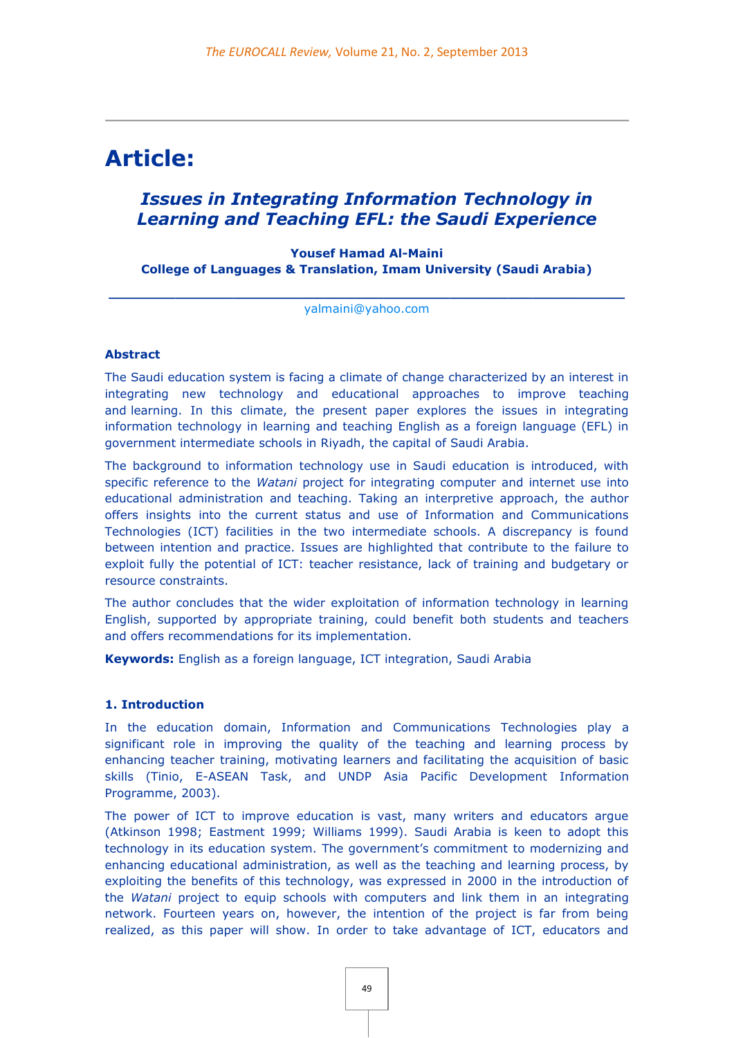# **Article:**

# *Issues in Integrating Information Technology in Learning and Teaching EFL: the Saudi Experience*

# **Yousef Hamad Al-Maini College of Languages & Translation, Imam University (Saudi Arabia)**

**\_\_\_\_\_\_\_\_\_\_\_\_\_\_\_\_\_\_\_\_\_\_\_\_\_\_\_\_\_\_\_\_\_\_\_\_\_\_\_\_\_\_\_\_\_\_\_\_\_\_\_\_\_\_\_\_\_\_\_\_\_\_** [yalmaini@yahoo.com](mailto:yalmaini@yahoo.com)

#### **Abstract**

The Saudi education system is facing a climate of change characterized by an interest in integrating new technology and educational approaches to improve teaching and learning. In this climate, the present paper explores the issues in integrating information technology in learning and teaching English as a foreign language (EFL) in government intermediate schools in Riyadh, the capital of Saudi Arabia.

The background to information technology use in Saudi education is introduced, with specific reference to the *Watani* project for integrating computer and internet use into educational administration and teaching. Taking an interpretive approach, the author offers insights into the current status and use of Information and Communications Technologies (ICT) facilities in the two intermediate schools. A discrepancy is found between intention and practice. Issues are highlighted that contribute to the failure to exploit fully the potential of ICT: teacher resistance, lack of training and budgetary or resource constraints.

The author concludes that the wider exploitation of information technology in learning English, supported by appropriate training, could benefit both students and teachers and offers recommendations for its implementation.

**Keywords:** English as a foreign language, ICT integration, Saudi Arabia

#### **1. Introduction**

In the education domain, Information and Communications Technologies play a significant role in improving the quality of the teaching and learning process by enhancing teacher training, motivating learners and facilitating the acquisition of basic skills (Tinio, E-ASEAN Task, and UNDP Asia Pacific Development Information Programme, 2003).

The power of ICT to improve education is vast, many writers and educators argue (Atkinson 1998; Eastment 1999; Williams 1999). Saudi Arabia is keen to adopt this technology in its education system. The government's commitment to modernizing and enhancing educational administration, as well as the teaching and learning process, by exploiting the benefits of this technology, was expressed in 2000 in the introduction of the *Watani* project to equip schools with computers and link them in an integrating network. Fourteen years on, however, the intention of the project is far from being realized, as this paper will show. In order to take advantage of ICT, educators and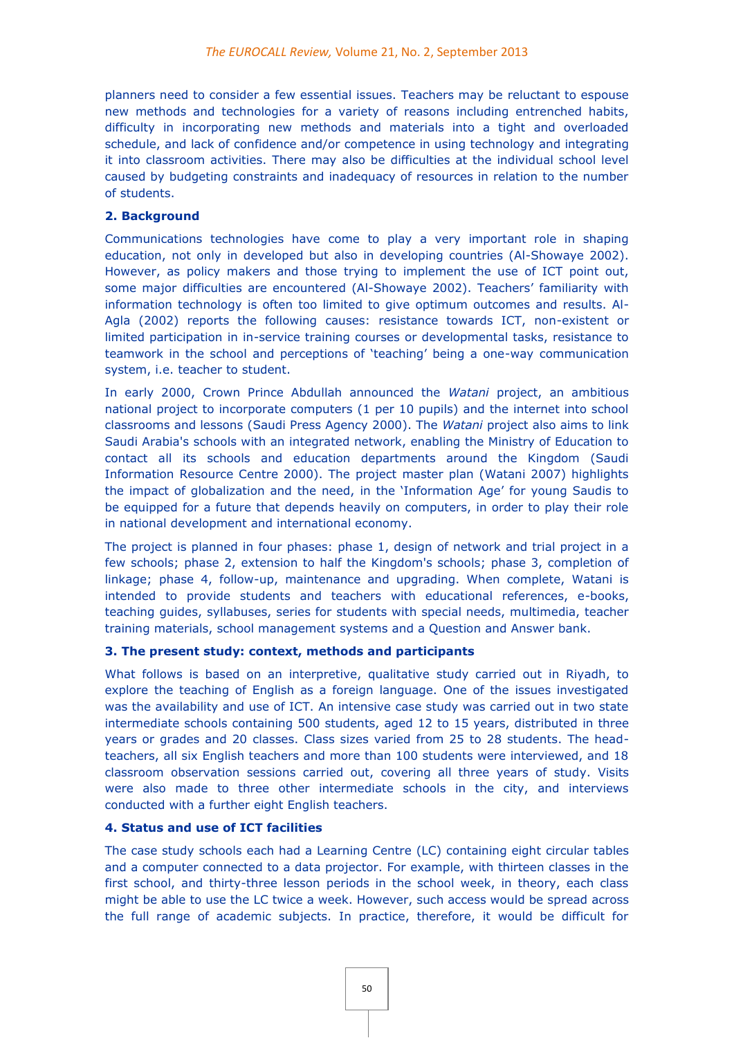planners need to consider a few essential issues. Teachers may be reluctant to espouse new methods and technologies for a variety of reasons including entrenched habits, difficulty in incorporating new methods and materials into a tight and overloaded schedule, and lack of confidence and/or competence in using technology and integrating it into classroom activities. There may also be difficulties at the individual school level caused by budgeting constraints and inadequacy of resources in relation to the number of students.

# **2. Background**

Communications technologies have come to play a very important role in shaping education, not only in developed but also in developing countries (Al-Showaye 2002). However, as policy makers and those trying to implement the use of ICT point out, some major difficulties are encountered (Al-Showaye 2002). Teachers' familiarity with information technology is often too limited to give optimum outcomes and results. Al-Agla (2002) reports the following causes: resistance towards ICT, non-existent or limited participation in in-service training courses or developmental tasks, resistance to teamwork in the school and perceptions of 'teaching' being a one-way communication system, i.e. teacher to student.

In early 2000, Crown Prince Abdullah announced the *Watani* project, an ambitious national project to incorporate computers (1 per 10 pupils) and the internet into school classrooms and lessons (Saudi Press Agency 2000). The *Watani* project also aims to link Saudi Arabia's schools with an integrated network, enabling the Ministry of Education to contact all its schools and education departments around the Kingdom (Saudi Information Resource Centre 2000). The project master plan (Watani 2007) highlights the impact of globalization and the need, in the 'Information Age' for young Saudis to be equipped for a future that depends heavily on computers, in order to play their role in national development and international economy.

The project is planned in four phases: phase 1, design of network and trial project in a few schools; phase 2, extension to half the Kingdom's schools; phase 3, completion of linkage; phase 4, follow-up, maintenance and upgrading. When complete, Watani is intended to provide students and teachers with educational references, e-books, teaching guides, syllabuses, series for students with special needs, multimedia, teacher training materials, school management systems and a Question and Answer bank.

# **3. The present study: context, methods and participants**

What follows is based on an interpretive, qualitative study carried out in Riyadh, to explore the teaching of English as a foreign language. One of the issues investigated was the availability and use of ICT. An intensive case study was carried out in two state intermediate schools containing 500 students, aged 12 to 15 years, distributed in three years or grades and 20 classes. Class sizes varied from 25 to 28 students. The headteachers, all six English teachers and more than 100 students were interviewed, and 18 classroom observation sessions carried out, covering all three years of study. Visits were also made to three other intermediate schools in the city, and interviews conducted with a further eight English teachers.

# **4. Status and use of ICT facilities**

The case study schools each had a Learning Centre (LC) containing eight circular tables and a computer connected to a data projector. For example, with thirteen classes in the first school, and thirty-three lesson periods in the school week, in theory, each class might be able to use the LC twice a week. However, such access would be spread across the full range of academic subjects. In practice, therefore, it would be difficult for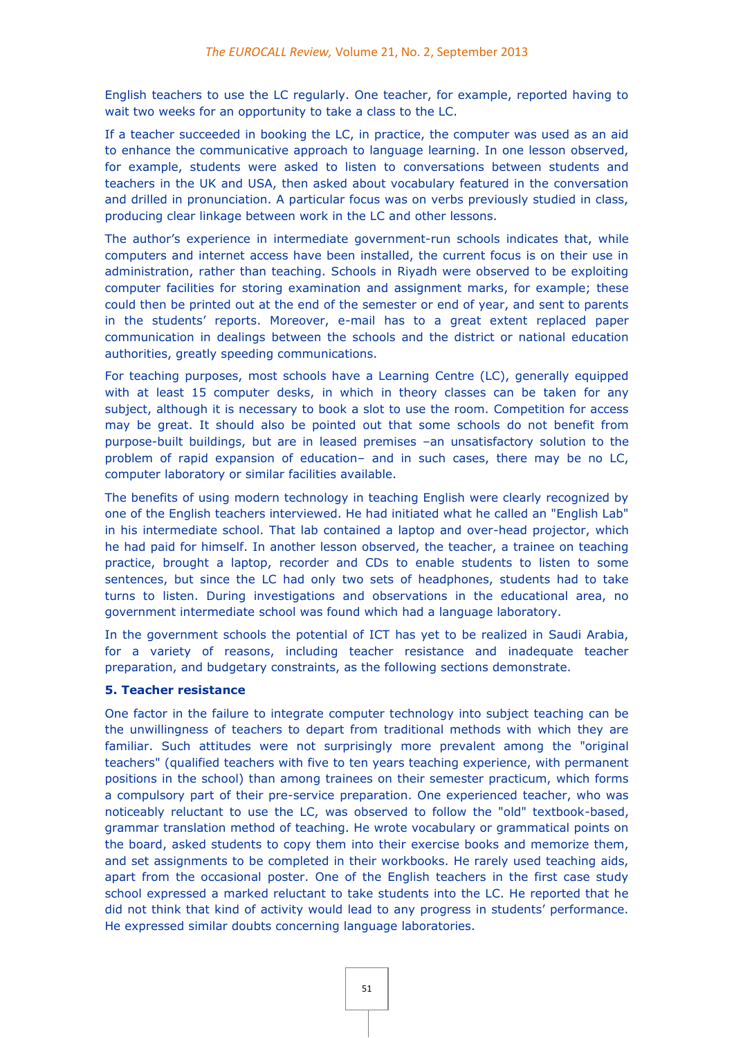English teachers to use the LC regularly. One teacher, for example, reported having to wait two weeks for an opportunity to take a class to the LC.

If a teacher succeeded in booking the LC, in practice, the computer was used as an aid to enhance the communicative approach to language learning. In one lesson observed, for example, students were asked to listen to conversations between students and teachers in the UK and USA, then asked about vocabulary featured in the conversation and drilled in pronunciation. A particular focus was on verbs previously studied in class, producing clear linkage between work in the LC and other lessons.

The author's experience in intermediate government-run schools indicates that, while computers and internet access have been installed, the current focus is on their use in administration, rather than teaching. Schools in Riyadh were observed to be exploiting computer facilities for storing examination and assignment marks, for example; these could then be printed out at the end of the semester or end of year, and sent to parents in the students' reports. Moreover, e-mail has to a great extent replaced paper communication in dealings between the schools and the district or national education authorities, greatly speeding communications.

For teaching purposes, most schools have a Learning Centre (LC), generally equipped with at least 15 computer desks, in which in theory classes can be taken for any subject, although it is necessary to book a slot to use the room. Competition for access may be great. It should also be pointed out that some schools do not benefit from purpose-built buildings, but are in leased premises –an unsatisfactory solution to the problem of rapid expansion of education– and in such cases, there may be no LC, computer laboratory or similar facilities available.

The benefits of using modern technology in teaching English were clearly recognized by one of the English teachers interviewed. He had initiated what he called an "English Lab" in his intermediate school. That lab contained a laptop and over-head projector, which he had paid for himself. In another lesson observed, the teacher, a trainee on teaching practice, brought a laptop, recorder and CDs to enable students to listen to some sentences, but since the LC had only two sets of headphones, students had to take turns to listen. During investigations and observations in the educational area, no government intermediate school was found which had a language laboratory.

In the government schools the potential of ICT has yet to be realized in Saudi Arabia, for a variety of reasons, including teacher resistance and inadequate teacher preparation, and budgetary constraints, as the following sections demonstrate.

# **5. Teacher resistance**

One factor in the failure to integrate computer technology into subject teaching can be the unwillingness of teachers to depart from traditional methods with which they are familiar. Such attitudes were not surprisingly more prevalent among the "original teachers" (qualified teachers with five to ten years teaching experience, with permanent positions in the school) than among trainees on their semester practicum, which forms a compulsory part of their pre-service preparation. One experienced teacher, who was noticeably reluctant to use the LC, was observed to follow the "old" textbook-based, grammar translation method of teaching. He wrote vocabulary or grammatical points on the board, asked students to copy them into their exercise books and memorize them, and set assignments to be completed in their workbooks. He rarely used teaching aids, apart from the occasional poster. One of the English teachers in the first case study school expressed a marked reluctant to take students into the LC. He reported that he did not think that kind of activity would lead to any progress in students' performance. He expressed similar doubts concerning language laboratories.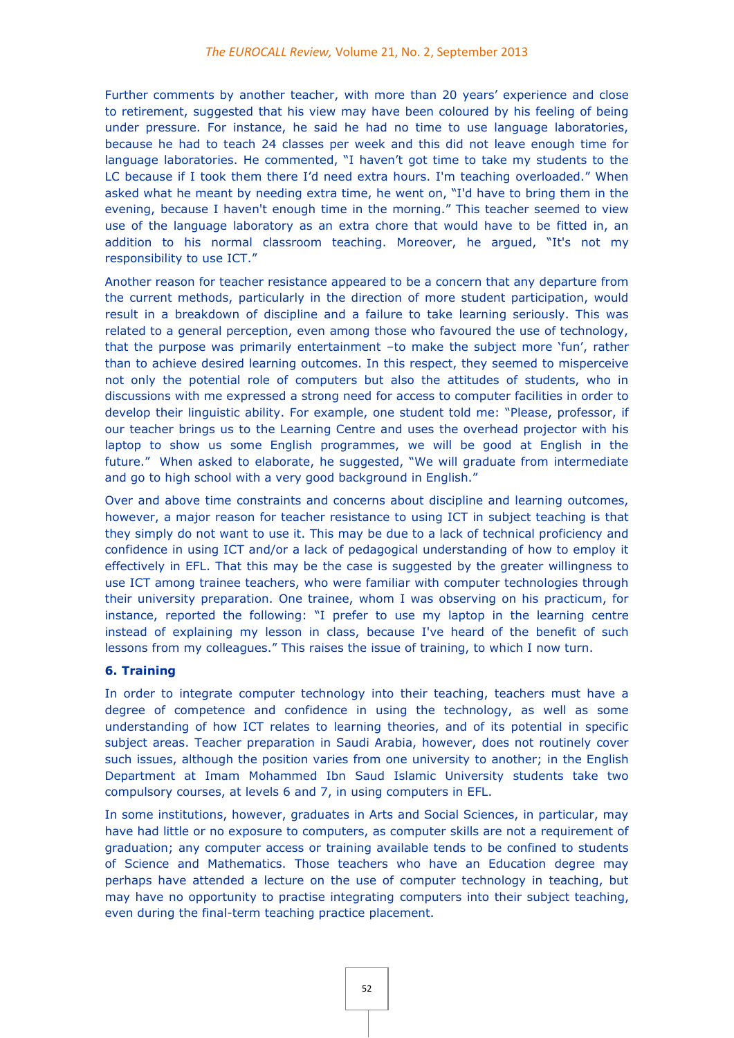Further comments by another teacher, with more than 20 years' experience and close to retirement, suggested that his view may have been coloured by his feeling of being under pressure. For instance, he said he had no time to use language laboratories, because he had to teach 24 classes per week and this did not leave enough time for language laboratories. He commented, "I haven't got time to take my students to the LC because if I took them there I'd need extra hours. I'm teaching overloaded." When asked what he meant by needing extra time, he went on, "I'd have to bring them in the evening, because I haven't enough time in the morning." This teacher seemed to view use of the language laboratory as an extra chore that would have to be fitted in, an addition to his normal classroom teaching. Moreover, he argued, "It's not my responsibility to use ICT."

Another reason for teacher resistance appeared to be a concern that any departure from the current methods, particularly in the direction of more student participation, would result in a breakdown of discipline and a failure to take learning seriously. This was related to a general perception, even among those who favoured the use of technology, that the purpose was primarily entertainment –to make the subject more 'fun', rather than to achieve desired learning outcomes. In this respect, they seemed to misperceive not only the potential role of computers but also the attitudes of students, who in discussions with me expressed a strong need for access to computer facilities in order to develop their linguistic ability. For example, one student told me: "Please, professor, if our teacher brings us to the Learning Centre and uses the overhead projector with his laptop to show us some English programmes, we will be good at English in the future." When asked to elaborate, he suggested, "We will graduate from intermediate and go to high school with a very good background in English."

Over and above time constraints and concerns about discipline and learning outcomes, however, a major reason for teacher resistance to using ICT in subject teaching is that they simply do not want to use it. This may be due to a lack of technical proficiency and confidence in using ICT and/or a lack of pedagogical understanding of how to employ it effectively in EFL. That this may be the case is suggested by the greater willingness to use ICT among trainee teachers, who were familiar with computer technologies through their university preparation. One trainee, whom I was observing on his practicum, for instance, reported the following: "I prefer to use my laptop in the learning centre instead of explaining my lesson in class, because I've heard of the benefit of such lessons from my colleagues." This raises the issue of training, to which I now turn.

# **6. Training**

In order to integrate computer technology into their teaching, teachers must have a degree of competence and confidence in using the technology, as well as some understanding of how ICT relates to learning theories, and of its potential in specific subject areas. Teacher preparation in Saudi Arabia, however, does not routinely cover such issues, although the position varies from one university to another; in the English Department at Imam Mohammed Ibn Saud Islamic University students take two compulsory courses, at levels 6 and 7, in using computers in EFL.

In some institutions, however, graduates in Arts and Social Sciences, in particular, may have had little or no exposure to computers, as computer skills are not a requirement of graduation; any computer access or training available tends to be confined to students of Science and Mathematics. Those teachers who have an Education degree may perhaps have attended a lecture on the use of computer technology in teaching, but may have no opportunity to practise integrating computers into their subject teaching, even during the final-term teaching practice placement.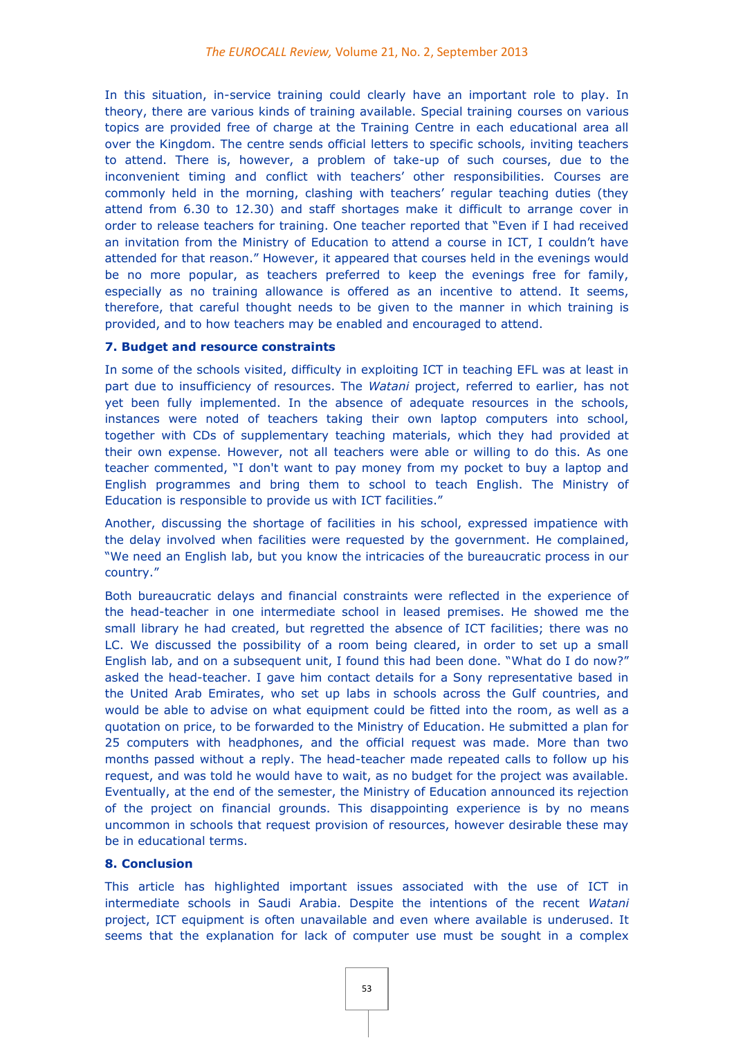In this situation, in-service training could clearly have an important role to play. In theory, there are various kinds of training available. Special training courses on various topics are provided free of charge at the Training Centre in each educational area all over the Kingdom. The centre sends official letters to specific schools, inviting teachers to attend. There is, however, a problem of take-up of such courses, due to the inconvenient timing and conflict with teachers' other responsibilities. Courses are commonly held in the morning, clashing with teachers' regular teaching duties (they attend from 6.30 to 12.30) and staff shortages make it difficult to arrange cover in order to release teachers for training. One teacher reported that "Even if I had received an invitation from the Ministry of Education to attend a course in ICT, I couldn't have attended for that reason." However, it appeared that courses held in the evenings would be no more popular, as teachers preferred to keep the evenings free for family, especially as no training allowance is offered as an incentive to attend. It seems, therefore, that careful thought needs to be given to the manner in which training is provided, and to how teachers may be enabled and encouraged to attend.

#### **7. Budget and resource constraints**

In some of the schools visited, difficulty in exploiting ICT in teaching EFL was at least in part due to insufficiency of resources. The *Watani* project, referred to earlier, has not yet been fully implemented. In the absence of adequate resources in the schools, instances were noted of teachers taking their own laptop computers into school, together with CDs of supplementary teaching materials, which they had provided at their own expense. However, not all teachers were able or willing to do this. As one teacher commented, "I don't want to pay money from my pocket to buy a laptop and English programmes and bring them to school to teach English. The Ministry of Education is responsible to provide us with ICT facilities."

Another, discussing the shortage of facilities in his school, expressed impatience with the delay involved when facilities were requested by the government. He complained, "We need an English lab, but you know the intricacies of the bureaucratic process in our country."

Both bureaucratic delays and financial constraints were reflected in the experience of the head-teacher in one intermediate school in leased premises. He showed me the small library he had created, but regretted the absence of ICT facilities; there was no LC. We discussed the possibility of a room being cleared, in order to set up a small English lab, and on a subsequent unit, I found this had been done. "What do I do now?" asked the head-teacher. I gave him contact details for a Sony representative based in the United Arab Emirates, who set up labs in schools across the Gulf countries, and would be able to advise on what equipment could be fitted into the room, as well as a quotation on price, to be forwarded to the Ministry of Education. He submitted a plan for 25 computers with headphones, and the official request was made. More than two months passed without a reply. The head-teacher made repeated calls to follow up his request, and was told he would have to wait, as no budget for the project was available. Eventually, at the end of the semester, the Ministry of Education announced its rejection of the project on financial grounds. This disappointing experience is by no means uncommon in schools that request provision of resources, however desirable these may be in educational terms.

#### **8. Conclusion**

This article has highlighted important issues associated with the use of ICT in intermediate schools in Saudi Arabia. Despite the intentions of the recent *Watani*  project, ICT equipment is often unavailable and even where available is underused. It seems that the explanation for lack of computer use must be sought in a complex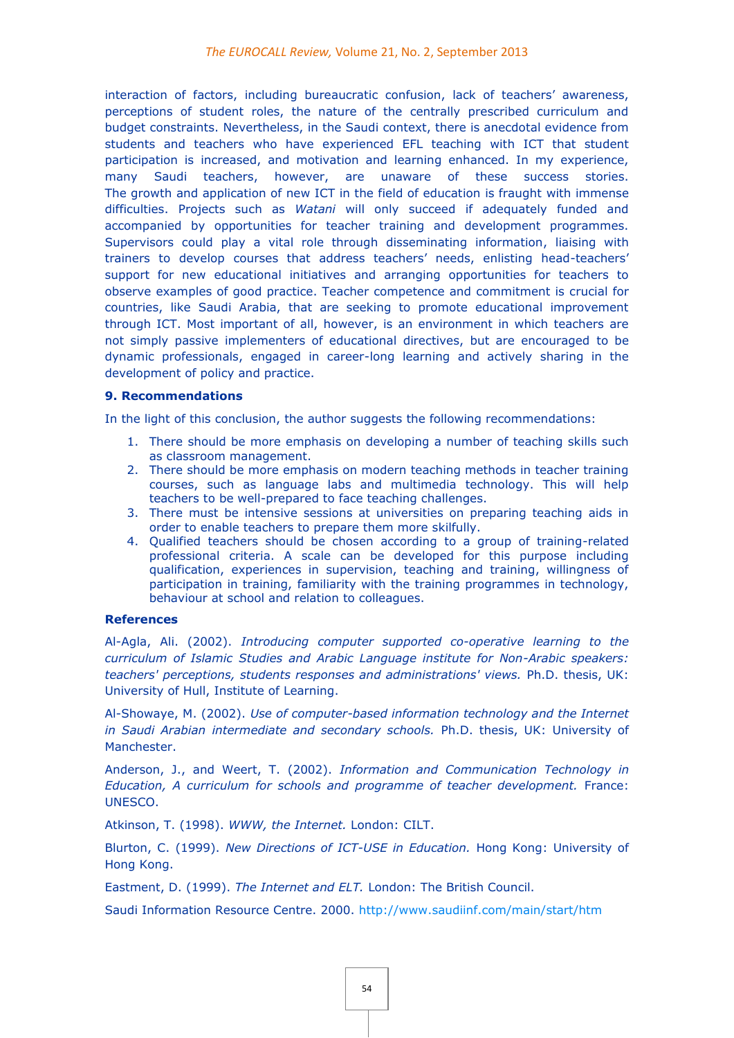interaction of factors, including bureaucratic confusion, lack of teachers' awareness, perceptions of student roles, the nature of the centrally prescribed curriculum and budget constraints. Nevertheless, in the Saudi context, there is anecdotal evidence from students and teachers who have experienced EFL teaching with ICT that student participation is increased, and motivation and learning enhanced. In my experience, many Saudi teachers, however, are unaware of these success stories. The growth and application of new ICT in the field of education is fraught with immense difficulties. Projects such as *Watani* will only succeed if adequately funded and accompanied by opportunities for teacher training and development programmes. Supervisors could play a vital role through disseminating information, liaising with trainers to develop courses that address teachers' needs, enlisting head-teachers' support for new educational initiatives and arranging opportunities for teachers to observe examples of good practice. Teacher competence and commitment is crucial for countries, like Saudi Arabia, that are seeking to promote educational improvement through ICT. Most important of all, however, is an environment in which teachers are not simply passive implementers of educational directives, but are encouraged to be dynamic professionals, engaged in career-long learning and actively sharing in the development of policy and practice.

#### **9. Recommendations**

In the light of this conclusion, the author suggests the following recommendations:

- 1. There should be more emphasis on developing a number of teaching skills such as classroom management.
- 2. There should be more emphasis on modern teaching methods in teacher training courses, such as language labs and multimedia technology. This will help teachers to be well-prepared to face teaching challenges.
- 3. There must be intensive sessions at universities on preparing teaching aids in order to enable teachers to prepare them more skilfully.
- 4. Qualified teachers should be chosen according to a group of training-related professional criteria. A scale can be developed for this purpose including qualification, experiences in supervision, teaching and training, willingness of participation in training, familiarity with the training programmes in technology, behaviour at school and relation to colleagues.

#### **References**

Al-Agla, Ali. (2002). *Introducing computer supported co-operative learning to the curriculum of Islamic Studies and Arabic Language institute for Non-Arabic speakers: teachers' perceptions, students responses and administrations' views.* Ph.D. thesis, UK: University of Hull, Institute of Learning.

Al-Showaye, M. (2002). *Use of computer-based information technology and the Internet in Saudi Arabian intermediate and secondary schools.* Ph.D. thesis, UK: University of Manchester.

Anderson, J., and Weert, T. (2002). *Information and Communication Technology in Education, A curriculum for schools and programme of teacher development.* France: UNESCO.

Atkinson, T. (1998). *WWW, the Internet.* London: CILT.

Blurton, C. (1999). *New Directions of ICT-USE in Education.* Hong Kong: University of Hong Kong.

Eastment, D. (1999). *The Internet and ELT.* London: The British Council.

Saudi Information Resource Centre. 2000.<http://www.saudiinf.com/main/start/htm>